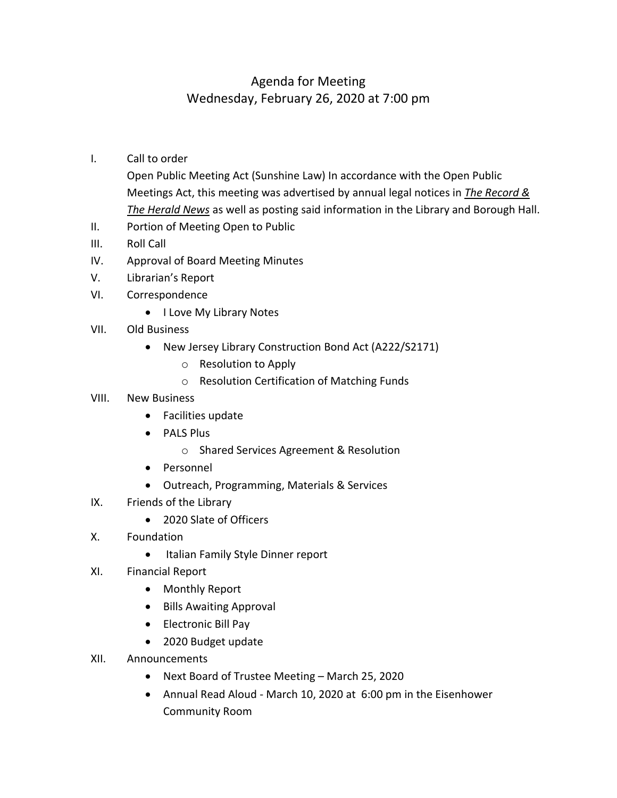## Agenda for Meeting Wednesday, February 26, 2020 at 7:00 pm

- I. Call to order
	- Open Public Meeting Act (Sunshine Law) In accordance with the Open Public Meetings Act, this meeting was advertised by annual legal notices in *The Record & The Herald News* as well as posting said information in the Library and Borough Hall.
- II. Portion of Meeting Open to Public
- III. Roll Call
- IV. Approval of Board Meeting Minutes
- V. Librarian's Report
- VI. Correspondence
	- I Love My Library Notes
- VII. Old Business
	- New Jersey Library Construction Bond Act (A222/S2171)
		- o Resolution to Apply
		- o Resolution Certification of Matching Funds

## VIII. New Business

- Facilities update
- PALS Plus
	- o Shared Services Agreement & Resolution
- Personnel
- Outreach, Programming, Materials & Services
- IX. Friends of the Library
	- 2020 Slate of Officers
- X. Foundation
	- Italian Family Style Dinner report
- XI. Financial Report
	- Monthly Report
	- Bills Awaiting Approval
	- Electronic Bill Pay
	- 2020 Budget update
- XII. Announcements
	- Next Board of Trustee Meeting March 25, 2020
	- Annual Read Aloud March 10, 2020 at 6:00 pm in the Eisenhower Community Room